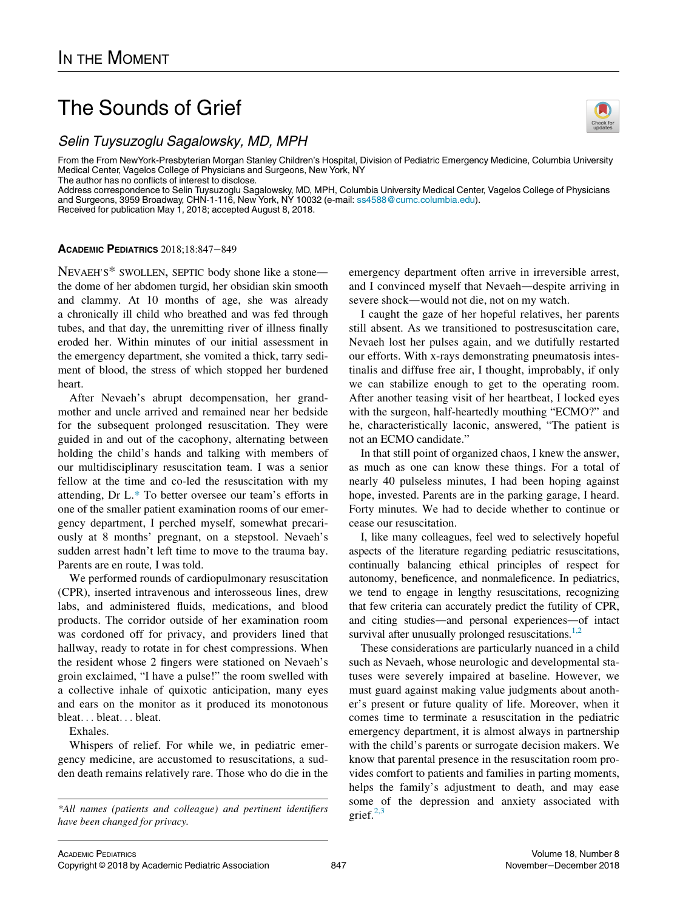# The Sounds of Grief

From the From NewYork-Presbyterian Morgan Stanley Children's Hospital, Division of Pediatric Emergency Medicine, Columbia University<br>From the From NewYork-Presbyterian Morgan Stanley Children's Hospital, Division of Pediat Medical Center, Vagelos College of Physicians and Surgeons, New York, NY The author has no conflicts of interest to disclose.

Address correspondence to Selin Tuysuzoglu Sagalowsky, MD, MPH, Columbia University Medical Center, Vagelos College of Physicians and Surgeons, 3959 Broadway, CHN-1-116, New York, NY 10032 (e-mail: [ss4588@cumc.columbia.edu\)](<ce:e-address id=). Received for publication May 1, 2018; accepted August 8, 2018.

## ACADEMIC PEDIATRICS 2018;18:847−849

NEVAEH'S\* SWOLLEN, SEPTIC body shone like a stone the dome of her abdomen turgid, her obsidian skin smooth and clammy. At 10 months of age, she was already a chronically ill child who breathed and was fed through tubes, and that day, the unremitting river of illness finally eroded her. Within minutes of our initial assessment in the emergency department, she vomited a thick, tarry sediment of blood, the stress of which stopped her burdened heart.

After Nevaeh's abrupt decompensation, her grandmother and uncle arrived and remained near her bedside for the subsequent prolonged resuscitation. They were guided in and out of the cacophony, alternating between holding the child's hands and talking with members of our multidisciplinary resuscitation team. I was a senior fellow at the time and co-led the resuscitation with my attending, Dr L.\* To better oversee our team's efforts in one of the smaller patient examination rooms of our emergency department, I perched myself, somewhat precariously at 8 months' pregnant, on a stepstool. Nevaeh's sudden arrest hadn't left time to move to the trauma bay. Parents are en route, I was told.

We performed rounds of cardiopulmonary resuscitation (CPR), inserted intravenous and interosseous lines, drew labs, and administered fluids, medications, and blood products. The corridor outside of her examination room was cordoned off for privacy, and providers lined that hallway, ready to rotate in for chest compressions. When the resident whose 2 fingers were stationed on Nevaeh's groin exclaimed, "I have a pulse!" the room swelled with a collective inhale of quixotic anticipation, many eyes and ears on the monitor as it produced its monotonous bleat... bleat... bleat.

Exhales.

Whispers of relief. For while we, in pediatric emergency medicine, are accustomed to resuscitations, a sudden death remains relatively rare. Those who do die in the

\*All names (patients and colleague) and pertinent identifiers  $\frac{2.3}{\pi}$  grief<sup>[2,3](#page-2-1)</sup> have been changed for privacy.

emergency department often arrive in irreversible arrest, and I convinced myself that Nevaeh—despite arriving in severe shock—would not die, not on my watch.

I caught the gaze of her hopeful relatives, her parents still absent. As we transitioned to postresuscitation care, Nevaeh lost her pulses again, and we dutifully restarted our efforts. With x-rays demonstrating pneumatosis intestinalis and diffuse free air, I thought, improbably, if only we can stabilize enough to get to the operating room. After another teasing visit of her heartbeat, I locked eyes with the surgeon, half-heartedly mouthing "ECMO?" and he, characteristically laconic, answered, "The patient is not an ECMO candidate."

In that still point of organized chaos, I knew the answer, as much as one can know these things. For a total of nearly 40 pulseless minutes, I had been hoping against hope, invested. Parents are in the parking garage, I heard. Forty minutes. We had to decide whether to continue or cease our resuscitation.

I, like many colleagues, feel wed to selectively hopeful aspects of the literature regarding pediatric resuscitations, continually balancing ethical principles of respect for autonomy, beneficence, and nonmaleficence. In pediatrics, we tend to engage in lengthy resuscitations, recognizing that few criteria can accurately predict the futility of CPR, and citing studies—and personal experiences—of intact survival after unusually prolonged resuscitations. $1,2$ 

These considerations are particularly nuanced in a child such as Nevaeh, whose neurologic and developmental statuses were severely impaired at baseline. However, we must guard against making value judgments about another's present or future quality of life. Moreover, when it comes time to terminate a resuscitation in the pediatric emergency department, it is almost always in partnership with the child's parents or surrogate decision makers. We know that parental presence in the resuscitation room provides comfort to patients and families in parting moments, helps the family's adjustment to death, and may ease some of the depression and anxiety associated with

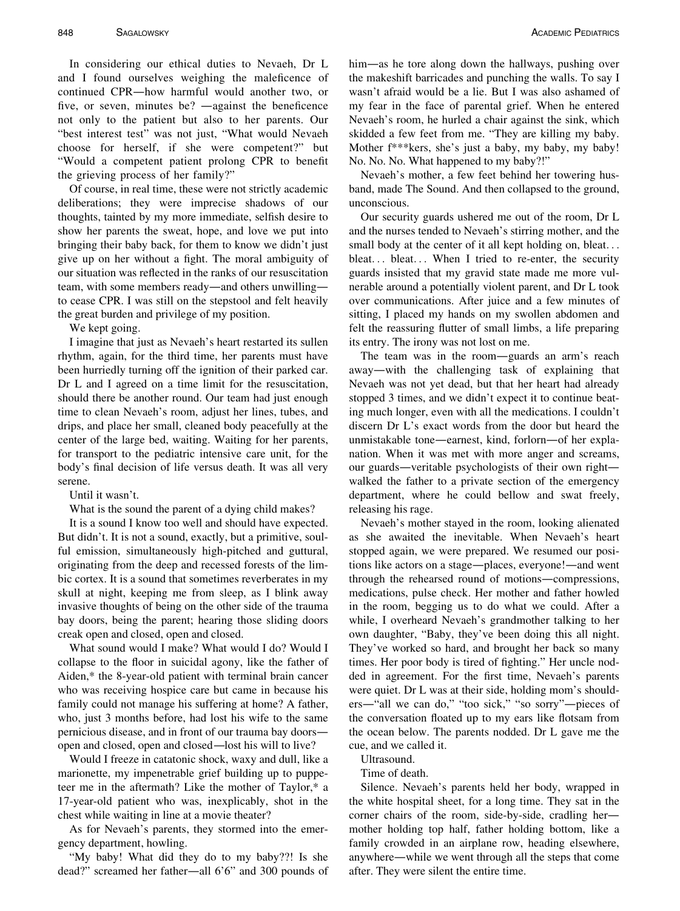In considering our ethical duties to Nevaeh, Dr L and I found ourselves weighing the maleficence of continued CPR—how harmful would another two, or five, or seven, minutes be? —against the beneficence not only to the patient but also to her parents. Our "best interest test" was not just, "What would Nevaeh choose for herself, if she were competent?" but "Would a competent patient prolong CPR to benefit the grieving process of her family?"

Of course, in real time, these were not strictly academic deliberations; they were imprecise shadows of our thoughts, tainted by my more immediate, selfish desire to show her parents the sweat, hope, and love we put into bringing their baby back, for them to know we didn't just give up on her without a fight. The moral ambiguity of our situation was reflected in the ranks of our resuscitation team, with some members ready—and others unwilling to cease CPR. I was still on the stepstool and felt heavily the great burden and privilege of my position.

We kept going.

I imagine that just as Nevaeh's heart restarted its sullen rhythm, again, for the third time, her parents must have been hurriedly turning off the ignition of their parked car. Dr L and I agreed on a time limit for the resuscitation, should there be another round. Our team had just enough time to clean Nevaeh's room, adjust her lines, tubes, and drips, and place her small, cleaned body peacefully at the center of the large bed, waiting. Waiting for her parents, for transport to the pediatric intensive care unit, for the body's final decision of life versus death. It was all very serene.

Until it wasn't.

What is the sound the parent of a dying child makes?

It is a sound I know too well and should have expected. But didn't. It is not a sound, exactly, but a primitive, soulful emission, simultaneously high-pitched and guttural, originating from the deep and recessed forests of the limbic cortex. It is a sound that sometimes reverberates in my skull at night, keeping me from sleep, as I blink away invasive thoughts of being on the other side of the trauma bay doors, being the parent; hearing those sliding doors creak open and closed, open and closed.

What sound would I make? What would I do? Would I collapse to the floor in suicidal agony, like the father of Aiden,\* the 8-year-old patient with terminal brain cancer who was receiving hospice care but came in because his family could not manage his suffering at home? A father, who, just 3 months before, had lost his wife to the same pernicious disease, and in front of our trauma bay doors open and closed, open and closed—lost his will to live?

Would I freeze in catatonic shock, waxy and dull, like a marionette, my impenetrable grief building up to puppeteer me in the aftermath? Like the mother of Taylor,\* a 17-year-old patient who was, inexplicably, shot in the chest while waiting in line at a movie theater?

As for Nevaeh's parents, they stormed into the emergency department, howling.

"My baby! What did they do to my baby??! Is she dead?" screamed her father—all 6'6" and 300 pounds of him—as he tore along down the hallways, pushing over the makeshift barricades and punching the walls. To say I wasn't afraid would be a lie. But I was also ashamed of my fear in the face of parental grief. When he entered Nevaeh's room, he hurled a chair against the sink, which skidded a few feet from me. "They are killing my baby. Mother f\*\*\*kers, she's just a baby, my baby, my baby! No. No. No. What happened to my baby?!"

Nevaeh's mother, a few feet behind her towering husband, made The Sound. And then collapsed to the ground, unconscious.

Our security guards ushered me out of the room, Dr L and the nurses tended to Nevaeh's stirring mother, and the small body at the center of it all kept holding on, bleat... bleat... bleat... When I tried to re-enter, the security guards insisted that my gravid state made me more vulnerable around a potentially violent parent, and Dr L took over communications. After juice and a few minutes of sitting, I placed my hands on my swollen abdomen and felt the reassuring flutter of small limbs, a life preparing its entry. The irony was not lost on me.

The team was in the room—guards an arm's reach away—with the challenging task of explaining that Nevaeh was not yet dead, but that her heart had already stopped 3 times, and we didn't expect it to continue beating much longer, even with all the medications. I couldn't discern Dr L's exact words from the door but heard the unmistakable tone—earnest, kind, forlorn—of her explanation. When it was met with more anger and screams, our guards—veritable psychologists of their own right walked the father to a private section of the emergency department, where he could bellow and swat freely, releasing his rage.

Nevaeh's mother stayed in the room, looking alienated as she awaited the inevitable. When Nevaeh's heart stopped again, we were prepared. We resumed our positions like actors on a stage—places, everyone!—and went through the rehearsed round of motions—compressions, medications, pulse check. Her mother and father howled in the room, begging us to do what we could. After a while, I overheard Nevaeh's grandmother talking to her own daughter, "Baby, they've been doing this all night. They've worked so hard, and brought her back so many times. Her poor body is tired of fighting." Her uncle nodded in agreement. For the first time, Nevaeh's parents were quiet. Dr L was at their side, holding mom's shoulders—"all we can do," "too sick," "so sorry"—pieces of the conversation floated up to my ears like flotsam from the ocean below. The parents nodded. Dr L gave me the cue, and we called it.

Ultrasound.

Time of death.

Silence. Nevaeh's parents held her body, wrapped in the white hospital sheet, for a long time. They sat in the corner chairs of the room, side-by-side, cradling her mother holding top half, father holding bottom, like a family crowded in an airplane row, heading elsewhere, anywhere—while we went through all the steps that come after. They were silent the entire time.